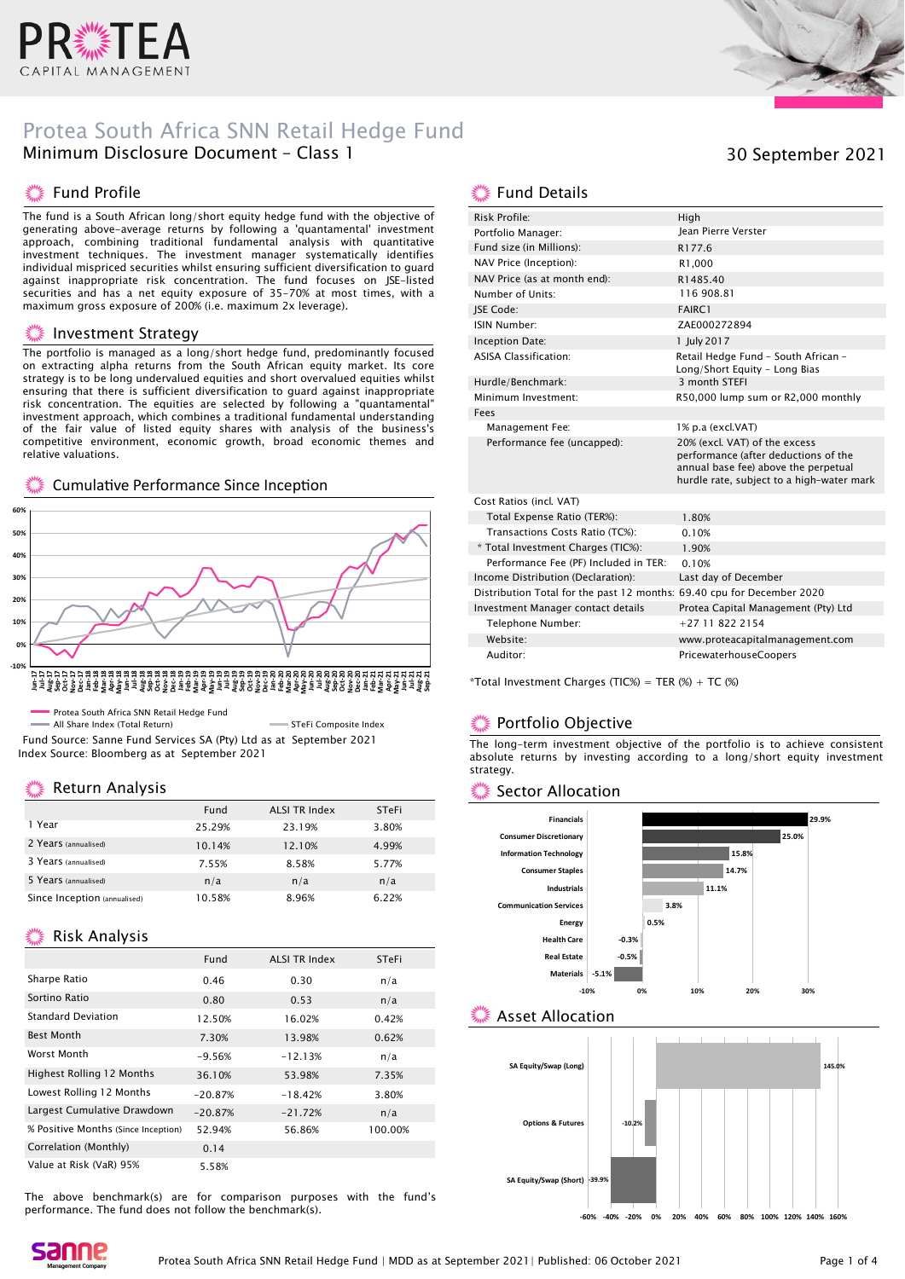

### Protea South Africa SNN Retail Hedge Fund Minimum Disclosure Document - Class 1

### **Komman Profile**

The fund is a South African long/short equity hedge fund with the objective of generating above-average returns by following a 'quantamental' investment approach, combining traditional fundamental analysis with quantitative investment techniques. The investment manager systematically identifies individual mispriced securities whilst ensuring sufficient diversification to guard against inappropriate risk concentration. The fund focuses on JSE-listed securities and has a net equity exposure of 35-70% at most times, with a maximum gross exposure of 200% (i.e. maximum 2x leverage).

#### Investment Strategy

The portfolio is managed as a long/short hedge fund, predominantly focused on extracting alpha returns from the South African equity market. Its core strategy is to be long undervalued equities and short overvalued equities whilst ensuring that there is sufficient diversification to guard against inappropriate risk concentration. The equities are selected by following a "quantamental" investment approach, which combines a traditional fundamental understanding of the fair value of listed equity shares with analysis of the business's competitive environment, economic growth, broad economic themes and relative valuations.

#### Cumulative Performance Since Inception



All Share Index (Total Return) STEFI Composite Index Fund Source: Sanne Fund Services SA (Pty) Ltd as at September 2021 Index Source: Bloomberg as at September 2021

### Return Analysis

|                              | Fund   | <b>ALSI TR Index</b> | <b>STeFi</b> |
|------------------------------|--------|----------------------|--------------|
| 1 Year                       | 25.29% | 23.19%               | 3.80%        |
| 2 Years (annualised)         | 10.14% | 12.10%               | 4.99%        |
| 3 Years (annualised)         | 7.55%  | 8.58%                | 5.77%        |
| 5 Years (annualised)         | n/a    | n/a                  | n/a          |
| Since Inception (annualised) | 10.58% | 8.96%                | 6.22%        |

### **Kisk Analysis**

|                                     | Fund      | <b>ALSI TR Index</b> | STeFi   |
|-------------------------------------|-----------|----------------------|---------|
| Sharpe Ratio                        | 0.46      | 0.30                 | n/a     |
| Sortino Ratio                       | 0.80      | 0.53                 | n/a     |
| <b>Standard Deviation</b>           | 12.50%    | 16.02%               | 0.42%   |
| <b>Best Month</b>                   | 7.30%     | 13.98%               | 0.62%   |
| Worst Month                         | $-9.56%$  | $-12.13%$            | n/a     |
| <b>Highest Rolling 12 Months</b>    | 36.10%    | 53.98%               | 7.35%   |
| Lowest Rolling 12 Months            | $-20.87%$ | $-18.42%$            | 3.80%   |
| Largest Cumulative Drawdown         | $-20.87%$ | $-21.72%$            | n/a     |
| % Positive Months (Since Inception) | 52.94%    | 56.86%               | 100.00% |
| Correlation (Monthly)               | 0.14      |                      |         |
| Value at Risk (VaR) 95%             | 5.58%     |                      |         |

The above benchmark(s) are for comparison purposes with the fund's performance. The fund does not follow the benchmark(s).



### 30 September 2021

### **...** Fund Details

| Risk Profile:                                                          | High                                                                                                                                                       |
|------------------------------------------------------------------------|------------------------------------------------------------------------------------------------------------------------------------------------------------|
| Portfolio Manager:                                                     | <b>Iean Pierre Verster</b>                                                                                                                                 |
| Fund size (in Millions):                                               | R177.6                                                                                                                                                     |
| NAV Price (Inception):                                                 | R1.000                                                                                                                                                     |
| NAV Price (as at month end):                                           | R1485.40                                                                                                                                                   |
| Number of Units:                                                       | 116 908.81                                                                                                                                                 |
| JSE Code:                                                              | FAIRC1                                                                                                                                                     |
| ISIN Number:                                                           | ZAE000272894                                                                                                                                               |
| Inception Date:                                                        | 1 July 2017                                                                                                                                                |
| <b>ASISA Classification:</b>                                           | Retail Hedge Fund - South African -<br>Long/Short Equity - Long Bias                                                                                       |
| Hurdle/Benchmark:                                                      | 3 month STEFI                                                                                                                                              |
| Minimum Investment:                                                    | R50,000 lump sum or R2,000 monthly                                                                                                                         |
| Fees                                                                   |                                                                                                                                                            |
| Management Fee:                                                        | 1% p.a (excl.VAT)                                                                                                                                          |
| Performance fee (uncapped):                                            | 20% (excl. VAT) of the excess<br>performance (after deductions of the<br>annual base fee) above the perpetual<br>hurdle rate, subject to a high-water mark |
| Cost Ratios (incl. VAT)                                                |                                                                                                                                                            |
| Total Expense Ratio (TER%):                                            | 1.80%                                                                                                                                                      |
| Transactions Costs Ratio (TC%):                                        | 0.10%                                                                                                                                                      |
| * Total Investment Charges (TIC%):                                     | 1.90%                                                                                                                                                      |
| Performance Fee (PF) Included in TER:                                  | 0.10%                                                                                                                                                      |
| Income Distribution (Declaration):                                     | Last day of December                                                                                                                                       |
| Distribution Total for the past 12 months: 69.40 cpu for December 2020 |                                                                                                                                                            |
| Investment Manager contact details                                     | Protea Capital Management (Pty) Ltd                                                                                                                        |
| Telephone Number:                                                      | $+27118222154$                                                                                                                                             |
| Website:                                                               | www.proteacapitalmanagement.com                                                                                                                            |
| Auditor:                                                               | PricewaterhouseCoopers                                                                                                                                     |

\*Total Investment Charges (TIC%) = TER  $%$  + TC  $%$ )

### Portfolio Objective

The long-term investment objective of the portfolio is to achieve consistent absolute returns by investing according to a long/short equity investment strategy.

### Sector Allocation



### Asset Allocation



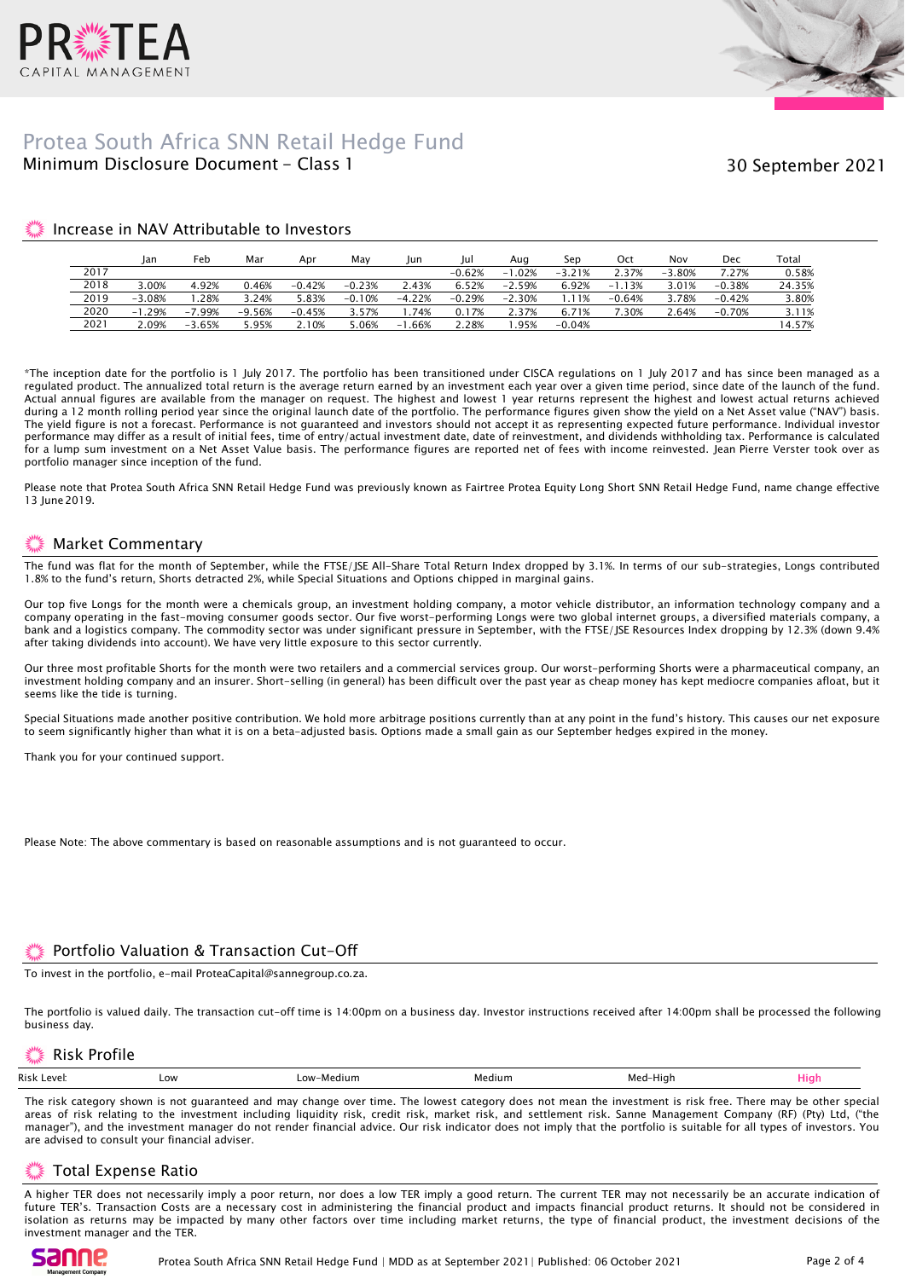



### Minimum Disclosure Document - Class 1 Protea South Africa SNN Retail Hedge Fund

30 September 2021

#### Increase in NAV Attributable to Investors

|      | lan          | Feb           | Mar      | Apr      | Mav      | Jun         | Jul      | Aua      | Sep      | Oct      | Nov      | Dec      | Total  |
|------|--------------|---------------|----------|----------|----------|-------------|----------|----------|----------|----------|----------|----------|--------|
| 2017 |              |               |          |          |          |             | $-0.62%$ | $-1.02%$ | $-3.21%$ | 2.37%    | $-3.80%$ | 7.27%    | 0.58%  |
| 2018 | 3.00%        | 4.92%         | 0.46%    | $-0.42%$ | $-0.23%$ | 2.43%       | 6.52%    | $-2.59%$ | 6.92%    | $-1.13%$ | 3.01%    | $-0.38%$ | 24.35% |
| 2019 | $-3.08%$     | .28%          | .24%     | 5.83%    | $-0.10%$ | $-4.22%$    | $-0.29%$ | $-2.30%$ | .11%     | $-0.64%$ | 3.78%    | $-0.42%$ | 3.80%  |
| 2020 | .29%<br>$-1$ | '.99%<br>$-7$ | $-9.56%$ | $-0.45%$ | 3.57%    | 74%         | 0.17%    | 2.37%    | 6.71%    | 7.30%    | 2.64%    | $-0.70%$ | 3.11%  |
| 2021 | 2.09%        | $-3.65%$      | 5.95%    | 2.10%    | 5.06%    | .66%<br>- 1 | 2.28%    | .95%     | $-0.04%$ |          |          |          | 14.57% |

\*The inception date for the portfolio is 1 July 2017. The portfolio has been transitioned under CISCA regulations on 1 July 2017 and has since been managed as a regulated product. The annualized total return is the average return earned by an investment each year over a given time period, since date of the launch of the fund. Actual annual figures are available from the manager on request. The highest and lowest 1 year returns represent the highest and lowest actual returns achieved during a 12 month rolling period year since the original launch date of the portfolio. The performance figures given show the yield on a Net Asset value ("NAV") basis. The yield figure is not a forecast. Performance is not guaranteed and investors should not accept it as representing expected future performance. Individual investor performance may differ as a result of initial fees, time of entry/actual investment date, date of reinvestment, and dividends withholding tax. Performance is calculated for a lump sum investment on a Net Asset Value basis. The performance figures are reported net of fees with income reinvested. Jean Pierre Verster took over as portfolio manager since inception of the fund.

Please note that Protea South Africa SNN Retail Hedge Fund was previously known as Fairtree Protea Equity Long Short SNN Retail Hedge Fund, name change effective 13 June 2019.

### Market Commentary

The fund was flat for the month of September, while the FTSE/JSE All-Share Total Return Index dropped by 3.1%. In terms of our sub-strategies, Longs contributed 1.8% to the fund's return, Shorts detracted 2%, while Special Situations and Options chipped in marginal gains.

Our top five Longs for the month were a chemicals group, an investment holding company, a motor vehicle distributor, an information technology company and a company operating in the fast-moving consumer goods sector. Our five worst-performing Longs were two global internet groups, a diversified materials company, a bank and a logistics company. The commodity sector was under significant pressure in September, with the FTSE/JSE Resources Index dropping by 12.3% (down 9.4% after taking dividends into account). We have very little exposure to this sector currently.

Our three most profitable Shorts for the month were two retailers and a commercial services group. Our worst-performing Shorts were a pharmaceutical company, an investment holding company and an insurer. Short-selling (in general) has been difficult over the past year as cheap money has kept mediocre companies afloat, but it seems like the tide is turning.

Special Situations made another positive contribution. We hold more arbitrage positions currently than at any point in the fund's history. This causes our net exposure to seem significantly higher than what it is on a beta-adjusted basis. Options made a small gain as our September hedges expired in the money.

Thank you for your continued support.

Please Note: The above commentary is based on reasonable assumptions and is not guaranteed to occur.

### Portfolio Valuation & Transaction Cut-Off

To invest in the portfolio, e-mail ProteaCapital@sannegroup.co.za.

The portfolio is valued daily. The transaction cut-off time is 14:00pm on a business day. Investor instructions received after 14:00pm shall be processed the following business day.

### Risk Profile

|  | Risk Level: | Low | -Medium<br>∟OW | Medium | .<br>-Hiah<br>Med | Hig |
|--|-------------|-----|----------------|--------|-------------------|-----|
|--|-------------|-----|----------------|--------|-------------------|-----|

The risk category shown is not guaranteed and may change over time. The lowest category does not mean the investment is risk free. There may be other special areas of risk relating to the investment including liquidity risk, credit risk, market risk, and settlement risk. Sanne Management Company (RF) (Pty) Ltd, ("the manager"), and the investment manager do not render financial advice. Our risk indicator does not imply that the portfolio is suitable for all types of investors. You are advised to consult your financial adviser.

### Total Expense Ratio

A higher TER does not necessarily imply a poor return, nor does a low TER imply a good return. The current TER may not necessarily be an accurate indication of future TER's. Transaction Costs are a necessary cost in administering the financial product and impacts financial product returns. It should not be considered in isolation as returns may be impacted by many other factors over time including market returns, the type of financial product, the investment decisions of the investment manager and the TER.

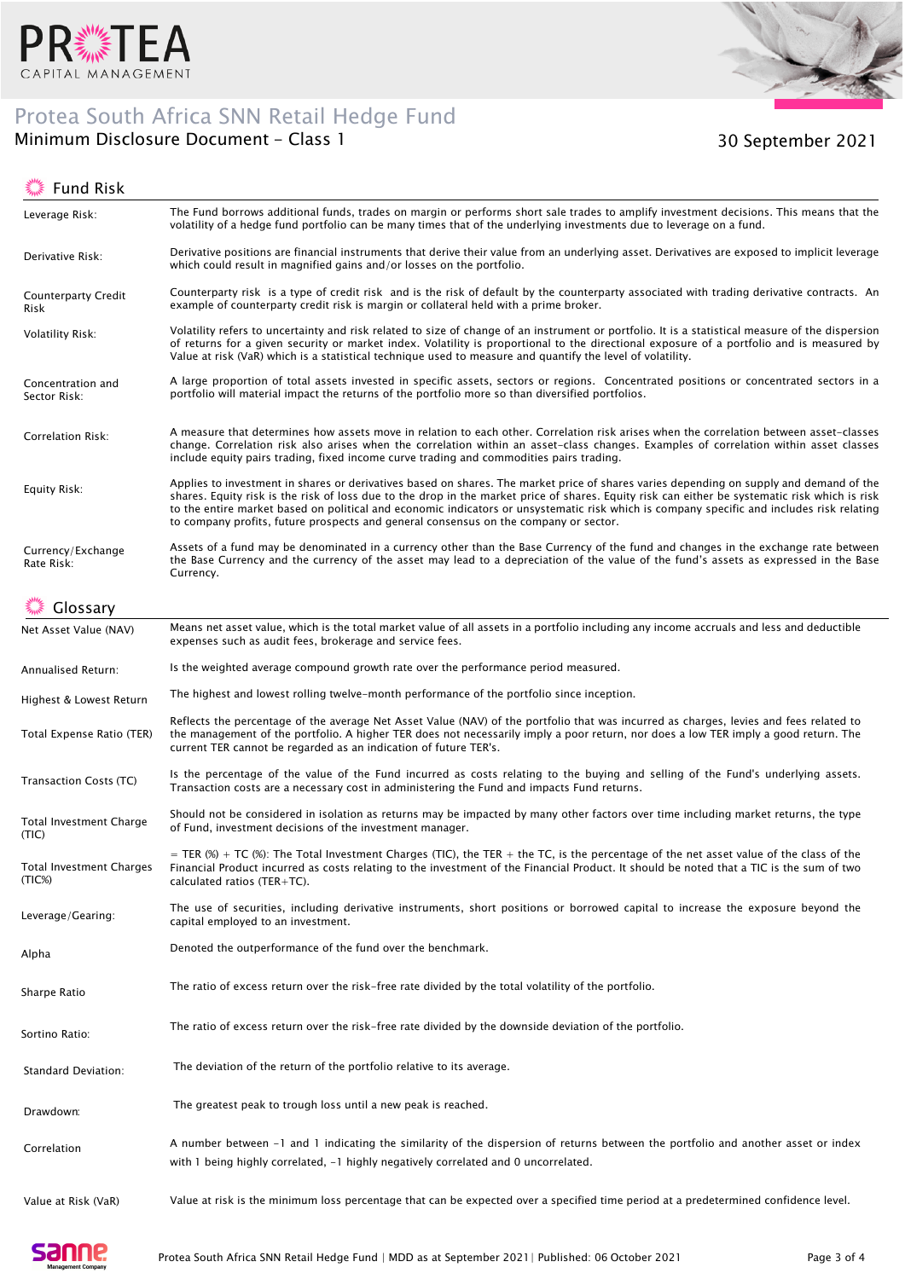

## Protea South Africa SNN Retail Hedge Fund



### Minimum Disclosure Document – Class 1 30 September 2021

 $\mathbb{R}^{\mathbb{N}\times \mathbb{Z}}$  Eund Dick

| FUND RISK                          |                                                                                                                                                                                                                                                                                                                                                                                                                                                                                                                                |
|------------------------------------|--------------------------------------------------------------------------------------------------------------------------------------------------------------------------------------------------------------------------------------------------------------------------------------------------------------------------------------------------------------------------------------------------------------------------------------------------------------------------------------------------------------------------------|
| Leverage Risk:                     | The Fund borrows additional funds, trades on margin or performs short sale trades to amplify investment decisions. This means that the<br>volatility of a hedge fund portfolio can be many times that of the underlying investments due to leverage on a fund.                                                                                                                                                                                                                                                                 |
| Derivative Risk:                   | Derivative positions are financial instruments that derive their value from an underlying asset. Derivatives are exposed to implicit leverage<br>which could result in magnified gains and/or losses on the portfolio.                                                                                                                                                                                                                                                                                                         |
| <b>Counterparty Credit</b><br>Risk | Counterparty risk is a type of credit risk and is the risk of default by the counterparty associated with trading derivative contracts. An<br>example of counterparty credit risk is margin or collateral held with a prime broker.                                                                                                                                                                                                                                                                                            |
| <b>Volatility Risk:</b>            | Volatility refers to uncertainty and risk related to size of change of an instrument or portfolio. It is a statistical measure of the dispersion<br>of returns for a given security or market index. Volatility is proportional to the directional exposure of a portfolio and is measured by<br>Value at risk (VaR) which is a statistical technique used to measure and quantify the level of volatility.                                                                                                                    |
| Concentration and<br>Sector Risk:  | A large proportion of total assets invested in specific assets, sectors or regions. Concentrated positions or concentrated sectors in a<br>portfolio will material impact the returns of the portfolio more so than diversified portfolios.                                                                                                                                                                                                                                                                                    |
| Correlation Risk:                  | A measure that determines how assets move in relation to each other. Correlation risk arises when the correlation between asset-classes<br>change. Correlation risk also arises when the correlation within an asset-class changes. Examples of correlation within asset classes<br>include equity pairs trading, fixed income curve trading and commodities pairs trading.                                                                                                                                                    |
| Equity Risk:                       | Applies to investment in shares or derivatives based on shares. The market price of shares varies depending on supply and demand of the<br>shares. Equity risk is the risk of loss due to the drop in the market price of shares. Equity risk can either be systematic risk which is risk<br>to the entire market based on political and economic indicators or unsystematic risk which is company specific and includes risk relating<br>to company profits, future prospects and general consensus on the company or sector. |
| Currency/Exchange<br>Rate Risk:    | Assets of a fund may be denominated in a currency other than the Base Currency of the fund and changes in the exchange rate between<br>the Base Currency and the currency of the asset may lead to a depreciation of the value of the fund's assets as expressed in the Base<br>Currency.                                                                                                                                                                                                                                      |
| Glossary                           |                                                                                                                                                                                                                                                                                                                                                                                                                                                                                                                                |
| Net Asset Value (NAV)              | Means net asset value, which is the total market value of all assets in a portfolio including any income accruals and less and deductible<br>expenses such as audit fees, brokerage and service fees.                                                                                                                                                                                                                                                                                                                          |
| Annualised Return:                 | Is the weighted average compound growth rate over the performance period measured.                                                                                                                                                                                                                                                                                                                                                                                                                                             |
| Highest & Lowest Return            | The highest and lowest rolling twelve-month performance of the portfolio since inception.                                                                                                                                                                                                                                                                                                                                                                                                                                      |
| Total Expense Ratio (TER)          | Reflects the percentage of the average Net Asset Value (NAV) of the portfolio that was incurred as charges, levies and fees related to<br>the management of the portfolio. A higher TER does not necessarily imply a poor return, nor does a low TER imply a good return. The<br>current TER cannot be regarded as an indication of future TER's.                                                                                                                                                                              |
| Transaction Costs (TC)             | Is the percentage of the value of the Fund incurred as costs relating to the buying and selling of the Fund's underlying assets.<br>Transaction costs are a necessary cost in administering the Fund and impacts Fund returns.                                                                                                                                                                                                                                                                                                 |
| Total Investment Charge<br>(TIC)   | Should not be considered in isolation as returns may be impacted by many other factors over time including market returns, the type<br>of Fund, investment decisions of the investment manager.                                                                                                                                                                                                                                                                                                                                |
| Total Investment Charges<br>(TIC%) | = TER (%) + TC (%): The Total Investment Charges (TIC), the TER + the TC, is the percentage of the net asset value of the class of the<br>Financial Product incurred as costs relating to the investment of the Financial Product. It should be noted that a TIC is the sum of two<br>calculated ratios $(TER+TC)$ .                                                                                                                                                                                                           |
| Leverage/Gearing:                  | The use of securities, including derivative instruments, short positions or borrowed capital to increase the exposure beyond the<br>capital employed to an investment.                                                                                                                                                                                                                                                                                                                                                         |
| Alpha                              | Denoted the outperformance of the fund over the benchmark.                                                                                                                                                                                                                                                                                                                                                                                                                                                                     |
| Sharpe Ratio                       | The ratio of excess return over the risk-free rate divided by the total volatility of the portfolio.                                                                                                                                                                                                                                                                                                                                                                                                                           |
| Sortino Ratio:                     | The ratio of excess return over the risk-free rate divided by the downside deviation of the portfolio.                                                                                                                                                                                                                                                                                                                                                                                                                         |
| Standard Deviation:                | The deviation of the return of the portfolio relative to its average.                                                                                                                                                                                                                                                                                                                                                                                                                                                          |
| Drawdown:                          | The greatest peak to trough loss until a new peak is reached.                                                                                                                                                                                                                                                                                                                                                                                                                                                                  |
| Correlation                        | A number between -1 and 1 indicating the similarity of the dispersion of returns between the portfolio and another asset or index<br>with 1 being highly correlated, $-1$ highly negatively correlated and 0 uncorrelated.                                                                                                                                                                                                                                                                                                     |
| Value at Risk (VaR)                | Value at risk is the minimum loss percentage that can be expected over a specified time period at a predetermined confidence level.                                                                                                                                                                                                                                                                                                                                                                                            |